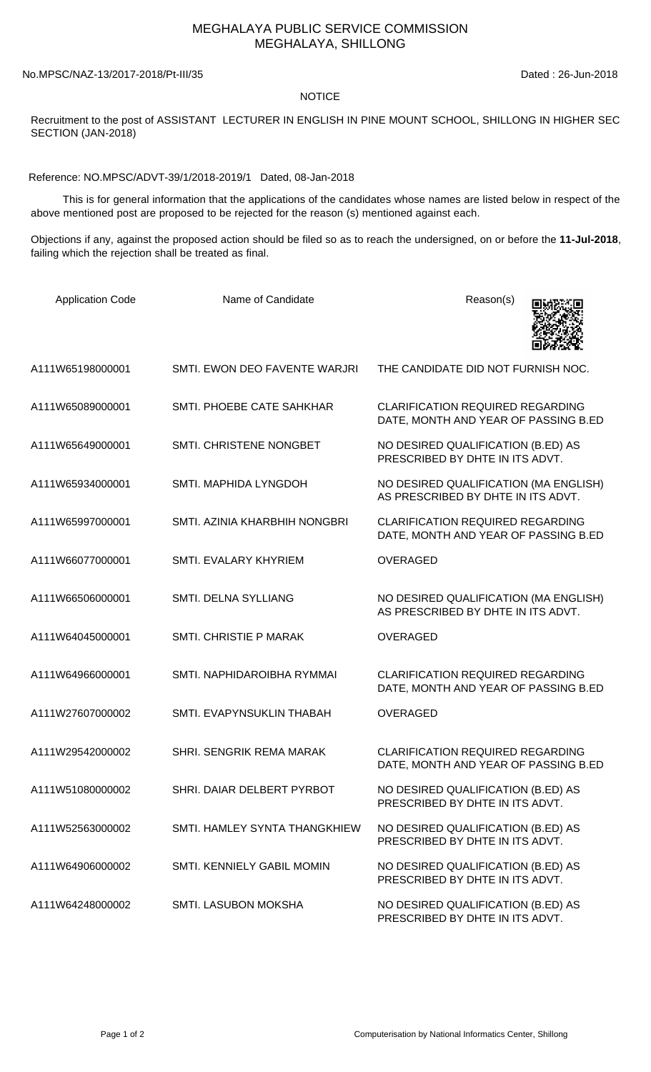## MEGHALAYA PUBLIC SERVICE COMMISSION MEGHALAYA, SHILLONG

No.MPSC/NAZ-13/2017-2018/Pt-III/35 Dated : 26-Jun-2018

## **NOTICE**

Recruitment to the post of ASSISTANT LECTURER IN ENGLISH IN PINE MOUNT SCHOOL, SHILLONG IN HIGHER SEC SECTION (JAN-2018)

Reference: NO.MPSC/ADVT-39/1/2018-2019/1 Dated, 08-Jan-2018

 This is for general information that the applications of the candidates whose names are listed below in respect of the above mentioned post are proposed to be rejected for the reason (s) mentioned against each.

Objections if any, against the proposed action should be filed so as to reach the undersigned, on or before the **11-Jul-2018**, failing which the rejection shall be treated as final.

| <b>Application Code</b> | Name of Candidate                 | Reason(s)                                                                       |
|-------------------------|-----------------------------------|---------------------------------------------------------------------------------|
| A111W65198000001        | SMTI. EWON DEO FAVENTE WARJRI     | THE CANDIDATE DID NOT FURNISH NOC.                                              |
| A111W65089000001        | SMTI. PHOEBE CATE SAHKHAR         | <b>CLARIFICATION REQUIRED REGARDING</b><br>DATE, MONTH AND YEAR OF PASSING B.ED |
| A111W65649000001        | SMTI. CHRISTENE NONGBET           | NO DESIRED QUALIFICATION (B.ED) AS<br>PRESCRIBED BY DHTE IN ITS ADVT.           |
| A111W65934000001        | SMTI. MAPHIDA LYNGDOH             | NO DESIRED QUALIFICATION (MA ENGLISH)<br>AS PRESCRIBED BY DHTE IN ITS ADVT.     |
| A111W65997000001        | SMTI. AZINIA KHARBHIH NONGBRI     | <b>CLARIFICATION REQUIRED REGARDING</b><br>DATE, MONTH AND YEAR OF PASSING B.ED |
| A111W66077000001        | SMTI. EVALARY KHYRIEM             | <b>OVERAGED</b>                                                                 |
| A111W66506000001        | SMTI. DELNA SYLLIANG              | NO DESIRED QUALIFICATION (MA ENGLISH)<br>AS PRESCRIBED BY DHTE IN ITS ADVT.     |
| A111W64045000001        | SMTI. CHRISTIE P MARAK            | <b>OVERAGED</b>                                                                 |
| A111W64966000001        | SMTI. NAPHIDAROIBHA RYMMAI        | <b>CLARIFICATION REQUIRED REGARDING</b><br>DATE, MONTH AND YEAR OF PASSING B.ED |
| A111W27607000002        | SMTI. EVAPYNSUKLIN THABAH         | <b>OVERAGED</b>                                                                 |
| A111W29542000002        | SHRI. SENGRIK REMA MARAK          | <b>CLARIFICATION REQUIRED REGARDING</b><br>DATE, MONTH AND YEAR OF PASSING B.ED |
| A111W51080000002        | SHRI. DAIAR DELBERT PYRBOT        | NO DESIRED QUALIFICATION (B.ED) AS<br>PRESCRIBED BY DHTE IN ITS ADVT.           |
| A111W52563000002        | SMTI. HAMLEY SYNTA THANGKHIEW     | NO DESIRED QUALIFICATION (B.ED) AS<br>PRESCRIBED BY DHTE IN ITS ADVT.           |
| A111W64906000002        | <b>SMTI, KENNIELY GABIL MOMIN</b> | NO DESIRED QUALIFICATION (B.ED) AS<br>PRESCRIBED BY DHTE IN ITS ADVT.           |
| A111W64248000002        | SMTI. LASUBON MOKSHA              | NO DESIRED QUALIFICATION (B.ED) AS<br>PRESCRIBED BY DHTE IN ITS ADVT.           |